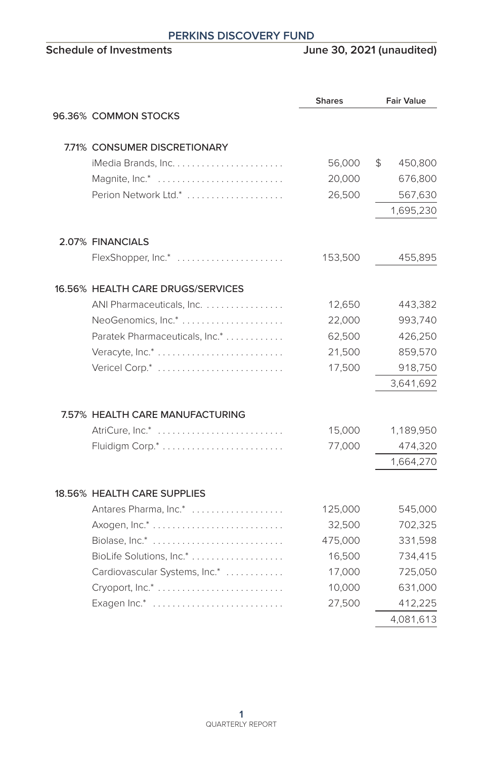## **PERKINS DISCOVERY FUND**<br>Jul

### **Schedule of Investments June 30, 2021 (unaudited)**

|                                   | <b>Shares</b> | <b>Fair Value</b> |
|-----------------------------------|---------------|-------------------|
| 96.36% COMMON STOCKS              |               |                   |
| 7.71% CONSUMER DISCRETIONARY      |               |                   |
|                                   | 56,000        | \$<br>450,800     |
| Magnite, Inc.*                    | 20,000        | 676,800           |
|                                   | 26,500        | 567,630           |
|                                   |               | 1,695,230         |
| 2.07% FINANCIALS                  |               |                   |
| FlexShopper, Inc.*                | 153,500       | 455,895           |
| 16.56% HEALTH CARE DRUGS/SERVICES |               |                   |
| ANI Pharmaceuticals, Inc.         | 12,650        | 443,382           |
|                                   | 22,000        | 993,740           |
| Paratek Pharmaceuticals, Inc.*    | 62,500        | 426,250           |
| Veracyte, Inc.*                   | 21,500        | 859,570           |
| Vericel Corp.*                    | 17,500        | 918,750           |
|                                   |               | 3,641,692         |
| 7.57% HEALTH CARE MANUFACTURING   |               |                   |
| AtriCure, Inc.*                   | 15,000        | 1,189,950         |
|                                   | 77,000        | 474,320           |
|                                   |               | 1,664,270         |
| 18.56% HEALTH CARE SUPPLIES       |               |                   |
| Antares Pharma, Inc.*             | 125,000       | 545,000           |
|                                   | 32,500        | 702,325           |
| Biolase, Inc.*                    | 475,000       | 331,598           |
|                                   | 16,500        | 734,415           |
| Cardiovascular Systems, Inc.*     | 17,000        | 725,050           |
| Cryoport, Inc.*                   | 10,000        | 631,000           |
| Exagen Inc.*                      | 27,500        | 412,225           |
|                                   |               | 4,081,613         |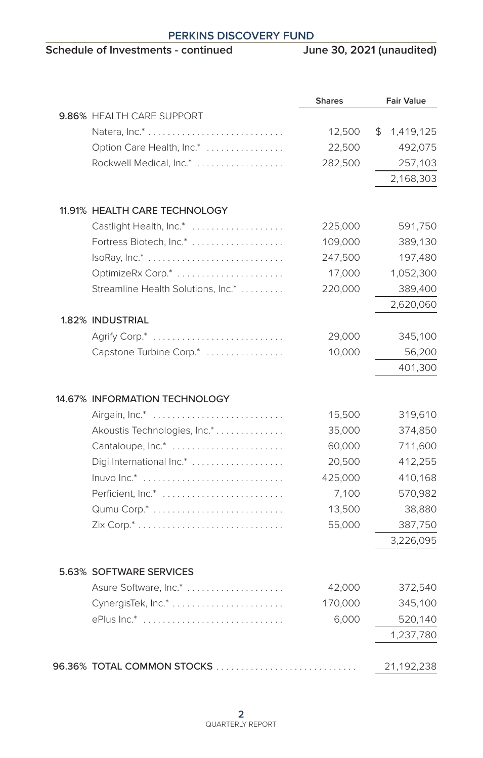# **PERKINS DISCOVERY FUND**<br>s - continued June 30, 2021 (unaudited)

### **Schedule of Investments - continued**

|                                                                       | <b>Shares</b> | <b>Fair Value</b> |
|-----------------------------------------------------------------------|---------------|-------------------|
| 9.86% HEALTH CARE SUPPORT                                             |               |                   |
|                                                                       | 12,500        | 1,419,125<br>\$   |
| Option Care Health, Inc.*                                             | 22,500        | 492,075           |
| Rockwell Medical, Inc.*                                               | 282,500       | 257,103           |
|                                                                       |               | 2,168,303         |
| 11.91% HEALTH CARE TECHNOLOGY                                         |               |                   |
| Castlight Health, Inc.*                                               | 225,000       | 591,750           |
| Fortress Biotech, Inc.*                                               | 109,000       | 389,130           |
|                                                                       | 247,500       | 197,480           |
| OptimizeRx Corp.*                                                     | 17,000        | 1,052,300         |
| Streamline Health Solutions, Inc.*                                    | 220,000       | 389,400           |
|                                                                       |               | 2,620,060         |
| 1.82% INDUSTRIAL                                                      |               |                   |
| Agrify Corp.*                                                         | 29,000        | 345,100           |
| Capstone Turbine Corp.*                                               | 10,000        | 56,200            |
|                                                                       |               | 401,300           |
| 14.67% INFORMATION TECHNOLOGY                                         |               |                   |
| Airgain, Inc.*                                                        | 15,500        | 319,610           |
| Akoustis Technologies, Inc.*                                          | 35,000        | 374,850           |
| Cantaloupe, Inc.*                                                     | 60,000        | 711,600           |
| Digi International Inc.*                                              | 20,500        | 412,255           |
| Inuvo Inc.* $\dots\dots\dots\dots\dots\dots\dots\dots\dots\dots\dots$ | 425,000       | 410,168           |
| Perficient, Inc.*                                                     | 7,100         | 570,982           |
|                                                                       | 13,500        | 38,880            |
|                                                                       | 55,000        | 387,750           |
|                                                                       |               | 3,226,095         |
| 5.63% SOFTWARE SERVICES                                               |               |                   |
| Asure Software, Inc.*                                                 | 42,000        | 372,540           |
|                                                                       | 170,000       | 345,100           |
| ePlus Inc.*                                                           | 6,000         | 520,140           |
|                                                                       |               | 1,237,780         |
| 96.36% TOTAL COMMON STOCKS                                            |               | 21,192,238        |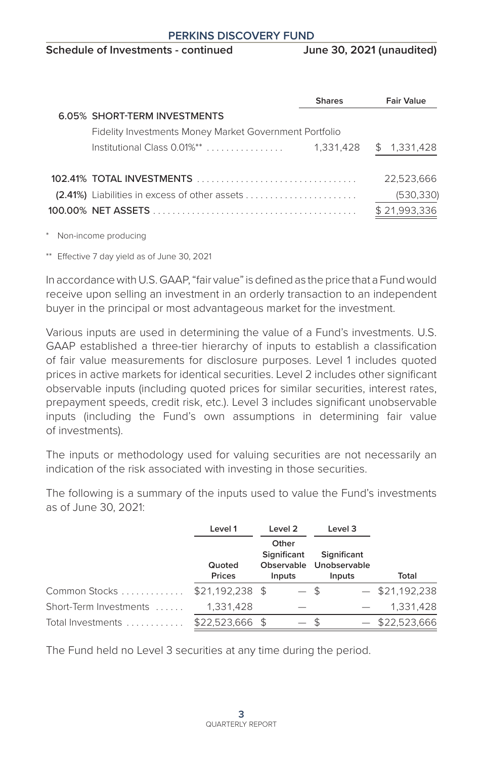#### **Schedule of Investments - continued June 30, 2021 (unaudited)**

|                                                        | <b>Shares</b> | <b>Fair Value</b> |  |
|--------------------------------------------------------|---------------|-------------------|--|
| 6.05% SHORT-TERM INVESTMENTS                           |               |                   |  |
| Fidelity Investments Money Market Government Portfolio |               |                   |  |
| Institutional Class 0.01%**                            | 1,331,428     | \$1,331,428       |  |
|                                                        |               |                   |  |
|                                                        |               | 22,523,666        |  |
| $(2.41%)$ Liabilities in excess of other assets        |               | (530, 330)        |  |
|                                                        |               | \$21,993,336      |  |
|                                                        |               |                   |  |

\* Non-income producing

\*\* Effective 7 day yield as of June 30, 2021

In accordance with U.S. GAAP, "fair value" is defined as the price that a Fund would receive upon selling an investment in an orderly transaction to an independent buyer in the principal or most advantageous market for the investment.

Various inputs are used in determining the value of a Fund's investments. U.S. GAAP established a three-tier hierarchy of inputs to establish a classification of fair value measurements for disclosure purposes. Level 1 includes quoted prices in active markets for identical securities. Level 2 includes other significant observable inputs (including quoted prices for similar securities, interest rates, prepayment speeds, credit risk, etc.). Level 3 includes significant unobservable inputs (including the Fund's own assumptions in determining fair value of investments).

The inputs or methodology used for valuing securities are not necessarily an indication of the risk associated with investing in those securities.

The following is a summary of the inputs used to value the Fund's investments as of June 30, 2021:

|                                       | Level 1                 | Level <sub>2</sub>                           | Level <sub>3</sub>                    |                  |
|---------------------------------------|-------------------------|----------------------------------------------|---------------------------------------|------------------|
|                                       | Quoted<br><b>Prices</b> | Other<br>Significant<br>Observable<br>Inputs | Significant<br>Unobservable<br>Inputs | Total            |
| Common Stocks                         | $$21,192,238$ \$        | - \$                                         |                                       | $-$ \$21,192,238 |
| Short-Term Investments<br>and a state | 1.331.428               |                                              |                                       | 1.331.428        |
| Total Investments                     | \$22,523,666 \$         | — S                                          |                                       | \$22,523,666     |

The Fund held no Level 3 securities at any time during the period.